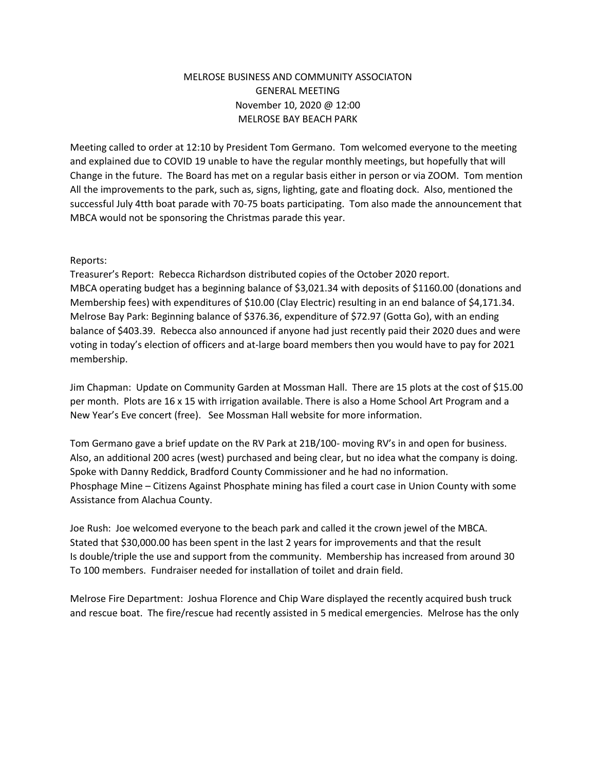## MELROSE BUSINESS AND COMMUNITY ASSOCIATON GENERAL MEETING November 10, 2020 @ 12:00 MELROSE BAY BEACH PARK

Meeting called to order at 12:10 by President Tom Germano. Tom welcomed everyone to the meeting and explained due to COVID 19 unable to have the regular monthly meetings, but hopefully that will Change in the future. The Board has met on a regular basis either in person or via ZOOM. Tom mention All the improvements to the park, such as, signs, lighting, gate and floating dock. Also, mentioned the successful July 4tth boat parade with 70-75 boats participating. Tom also made the announcement that MBCA would not be sponsoring the Christmas parade this year.

## Reports:

Treasurer's Report: Rebecca Richardson distributed copies of the October 2020 report. MBCA operating budget has a beginning balance of \$3,021.34 with deposits of \$1160.00 (donations and Membership fees) with expenditures of \$10.00 (Clay Electric) resulting in an end balance of \$4,171.34. Melrose Bay Park: Beginning balance of \$376.36, expenditure of \$72.97 (Gotta Go), with an ending balance of \$403.39. Rebecca also announced if anyone had just recently paid their 2020 dues and were voting in today's election of officers and at-large board members then you would have to pay for 2021 membership.

Jim Chapman: Update on Community Garden at Mossman Hall. There are 15 plots at the cost of \$15.00 per month. Plots are 16 x 15 with irrigation available. There is also a Home School Art Program and a New Year's Eve concert (free). See Mossman Hall website for more information.

Tom Germano gave a brief update on the RV Park at 21B/100- moving RV's in and open for business. Also, an additional 200 acres (west) purchased and being clear, but no idea what the company is doing. Spoke with Danny Reddick, Bradford County Commissioner and he had no information. Phosphage Mine – Citizens Against Phosphate mining has filed a court case in Union County with some Assistance from Alachua County.

Joe Rush: Joe welcomed everyone to the beach park and called it the crown jewel of the MBCA. Stated that \$30,000.00 has been spent in the last 2 years for improvements and that the result Is double/triple the use and support from the community. Membership has increased from around 30 To 100 members. Fundraiser needed for installation of toilet and drain field.

Melrose Fire Department: Joshua Florence and Chip Ware displayed the recently acquired bush truck and rescue boat. The fire/rescue had recently assisted in 5 medical emergencies. Melrose has the only